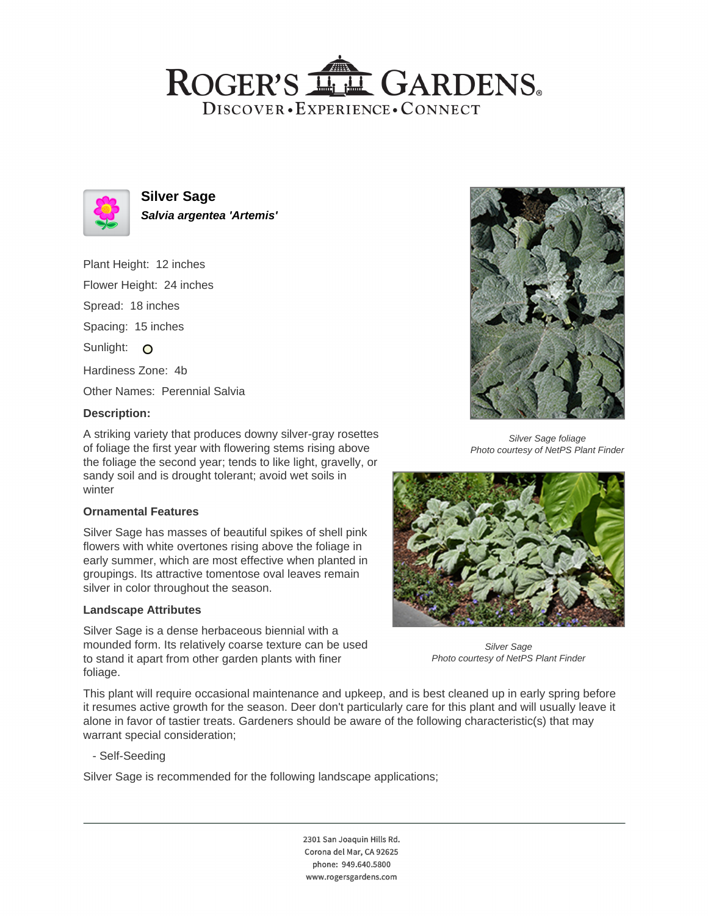## ROGER'S LL GARDENS. DISCOVER · EXPERIENCE · CONNECT



**Silver Sage Salvia argentea 'Artemis'**

Plant Height: 12 inches Flower Height: 24 inches Spread: 18 inches Spacing: 15 inches Sunlight: O Hardiness Zone: 4b Other Names: Perennial Salvia

## **Description:**

A striking variety that produces downy silver-gray rosettes of foliage the first year with flowering stems rising above the foliage the second year; tends to like light, gravelly, or sandy soil and is drought tolerant; avoid wet soils in winter

## **Ornamental Features**

Silver Sage has masses of beautiful spikes of shell pink flowers with white overtones rising above the foliage in early summer, which are most effective when planted in groupings. Its attractive tomentose oval leaves remain silver in color throughout the season.

#### **Landscape Attributes**

Silver Sage is a dense herbaceous biennial with a mounded form. Its relatively coarse texture can be used to stand it apart from other garden plants with finer foliage.



Silver Sage foliage Photo courtesy of NetPS Plant Finder



Silver Sage Photo courtesy of NetPS Plant Finder

This plant will require occasional maintenance and upkeep, and is best cleaned up in early spring before it resumes active growth for the season. Deer don't particularly care for this plant and will usually leave it alone in favor of tastier treats. Gardeners should be aware of the following characteristic(s) that may warrant special consideration;

- Self-Seeding

Silver Sage is recommended for the following landscape applications;

2301 San Joaquin Hills Rd. Corona del Mar, CA 92625 phone: 949.640.5800 www.rogersgardens.com